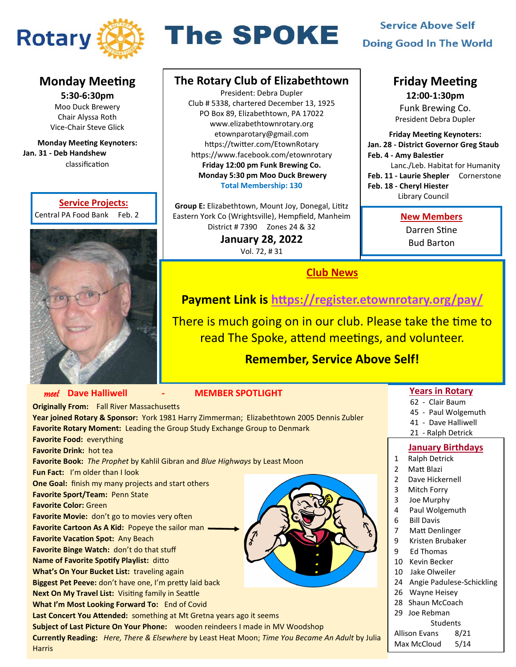

# **The SPOKE**

## **Service Above Self Doing Good In The World**

## **Monday Meeting**

**5:30-6:30pm** Moo Duck Brewery Chair Alyssa Roth Vice-Chair Steve Glick

**Monday Meeting Keynoters: Jan. 31 - Deb Handshew**  classification

#### **Service Projects:**

Central PA Food Bank Feb. 2



## **The Rotary Club of Elizabethtown**

President: Debra Dupler Club # 5338, chartered December 13, 1925 PO Box 89, Elizabethtown, PA 17022 www.elizabethtownrotary.org etownparotary@gmail.com https://twitter.com/EtownRotary https://www.facebook.com/etownrotary **Friday 12:00 pm Funk Brewing Co. Monday 5:30 pm Moo Duck Brewery Total Membership: 130**

**Group E:** Elizabethtown, Mount Joy, Donegal, Lititz Eastern York Co (Wrightsville), Hempfield, Manheim District # 7390 Zones 24 & 32

> **January 28, 2022**  Vol. 72, # 31

> > **Club News**

## **Friday Meeting**

**12:00-1:30pm** Funk Brewing Co. President Debra Dupler

**Friday Meeting Keynoters: Jan. 28 - District Governor Greg Staub Feb. 4 - Amy Balestier** Lanc./Leb. Habitat for Humanity **Feb. 11 - Laurie Shepler** Cornerstone **Feb. 18 - Cheryl Hiester**  Library Council

#### **New Members**

Darren Stine Bud Barton

## **Payment Link is <https://register.etownrotary.org/pay/>**

There is much going on in our club. Please take the time to read The Spoke, attend meetings, and volunteer.

## **Remember, Service Above Self!**

## **Years in Rotary**

- 62 Clair Baum
- 45 Paul Wolgemuth
- 41 Dave Halliwell
- 21 Ralph Detrick

## **January Birthdays**

- 1 Ralph Detrick
- 2 Matt Blazi
- 2 Dave Hickernell
- 3 Mitch Forry
- 3 Joe Murphy
- 4 Paul Wolgemuth
- 6 Bill Davis
- 7 Matt Denlinger
- 9 Kristen Brubaker
- 9 Ed Thomas
- 10 Kevin Becker
- 10 Jake Olweiler
- 24 Angie Padulese-Schickling
- 26 Wayne Heisey
- 28 Shaun McCoach 29 Joe Rebman
	- **Students**

Allison Evans 8/21 Max McCloud 5/14

| <b>MEMBER SPOTLIGHT</b>                                                                   |  |  |  |
|-------------------------------------------------------------------------------------------|--|--|--|
|                                                                                           |  |  |  |
| Year joined Rotary & Sponsor: York 1981 Harry Zimmerman; Elizabethtown 2005 Dennis Zubler |  |  |  |
| Favorite Rotary Moment: Leading the Group Study Exchange Group to Denmark                 |  |  |  |
|                                                                                           |  |  |  |
|                                                                                           |  |  |  |
| Favorite Book: The Prophet by Kahlil Gibran and Blue Highways by Least Moon               |  |  |  |
|                                                                                           |  |  |  |
|                                                                                           |  |  |  |
|                                                                                           |  |  |  |
|                                                                                           |  |  |  |
|                                                                                           |  |  |  |
|                                                                                           |  |  |  |
|                                                                                           |  |  |  |
|                                                                                           |  |  |  |
|                                                                                           |  |  |  |
|                                                                                           |  |  |  |
|                                                                                           |  |  |  |
|                                                                                           |  |  |  |
|                                                                                           |  |  |  |
| Last Concert You Attended: something at Mt Gretna years ago it seems                      |  |  |  |
| Subject of Last Picture On Your Phone: wooden reindeers I made in MV Woodshop             |  |  |  |
|                                                                                           |  |  |  |

**Currently Reading:** *Here, There & Elsewhere* by Least Heat Moon; *Time You Became An Adult* by Julia **Harris**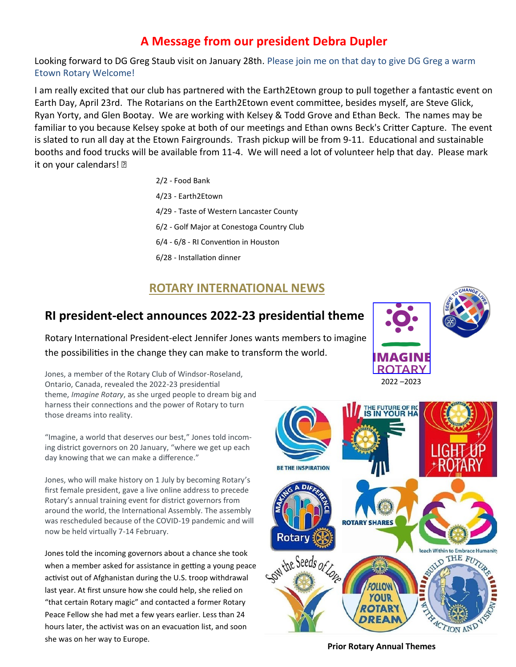## **A Message from our president Debra Dupler**

Looking forward to DG Greg Staub visit on January 28th. Please join me on that day to give DG Greg a warm Etown Rotary Welcome!

I am really excited that our club has partnered with the Earth2Etown group to pull together a fantastic event on Earth Day, April 23rd. The Rotarians on the Earth2Etown event committee, besides myself, are Steve Glick, Ryan Yorty, and Glen Bootay. We are working with Kelsey & Todd Grove and Ethan Beck. The names may be familiar to you because Kelsey spoke at both of our meetings and Ethan owns Beck's Critter Capture. The event is slated to run all day at the Etown Fairgrounds. Trash pickup will be from 9-11. Educational and sustainable booths and food trucks will be available from 11-4. We will need a lot of volunteer help that day. Please mark it on your calendars! ?

> 2/2 - Food Bank 4/23 - Earth2Etown 4/29 - Taste of Western Lancaster County 6/2 - Golf Major at Conestoga Country Club 6/4 - 6/8 - RI Convention in Houston 6/28 - Installation dinner

## **ROTARY INTERNATIONAL NEWS**

## **RI president-elect announces 2022-23 presidential theme**

Rotary International President-elect Jennifer Jones wants members to imagine the possibilities in the change they can make to transform the world.

Jones, a member of the Rotary Club of Windsor-Roseland, Ontario, Canada, revealed the 2022-23 presidential theme, *Imagine Rotary*, as she urged people to dream big and harness their connections and the power of Rotary to turn those dreams into reality.

"Imagine, a world that deserves our best," Jones told incoming district governors on 20 January, "where we get up each day knowing that we can make a difference."

Jones, who will make history on 1 July by becoming Rotary's first female president, gave a live online address to precede Rotary's annual training event for district governors from around the world, the International Assembly. The assembly was rescheduled because of the COVID-19 pandemic and will now be held virtually 7-14 February.

Jones told the incoming governors about a chance she took when a member asked for assistance in getting a young peace activist out of Afghanistan during the U.S. troop withdrawal last year. At first unsure how she could help, she relied on "that certain Rotary magic" and contacted a former Rotary Peace Fellow she had met a few years earlier. Less than 24 hours later, the activist was on an evacuation list, and soon she was on her way to Europe.





## **Prior Rotary Annual Themes**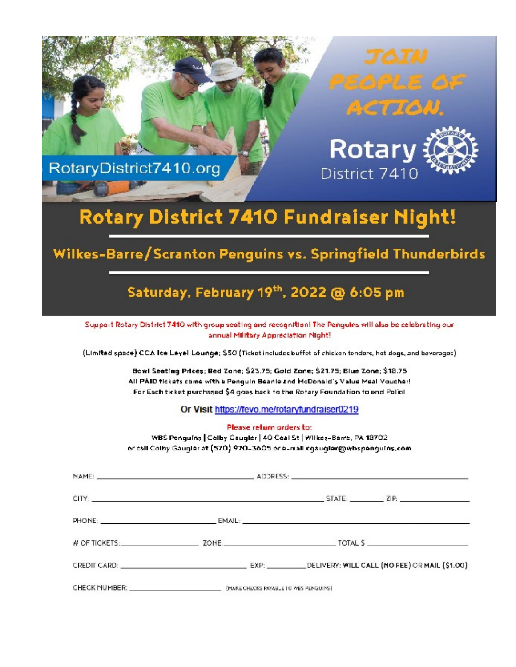

## Rotary District 7410 Fundraiser Night!

## Wilkes-Barre/Scranton Penguins vs. Springfield Thunderbirds

## Saturday, February 19th, 2022 @ 6:05 pm

Support Rotary District 7410 with group seating and recognition! The Penguins will also be celebrating our annual Military Appreciation Night!

(Limited space) CCA lce Leyel Lounge; \$50 (Ticket includes buffet of chicken tenders, hot dogs, and beverages)

Bowl Seating Prices; Red Zone; \$23.75; Gold Zone; \$21.75; Blue Zone; \$18.75 All PAID tickets come with a Penguin Beanie and McDonald's Value Meal Voucher! For Each ticket purchased \$4 goes back to the Rotary Foundation to end Poliol

Or Visit https://fevo.me/rotaryfundraiser0219

Please return orders to:

WBS Penguins | Colby Gaugler | 40 Coal St | Wilkes-Barre, PA 18702 or call Colby Gaugier at (570) 970-3605 or e-mail egaugier@wbspenguins.com

| CHECK NUMBER: WE CHECK SERVICE CHECKS PAYABLE TO WES PENGUINS |  |
|---------------------------------------------------------------|--|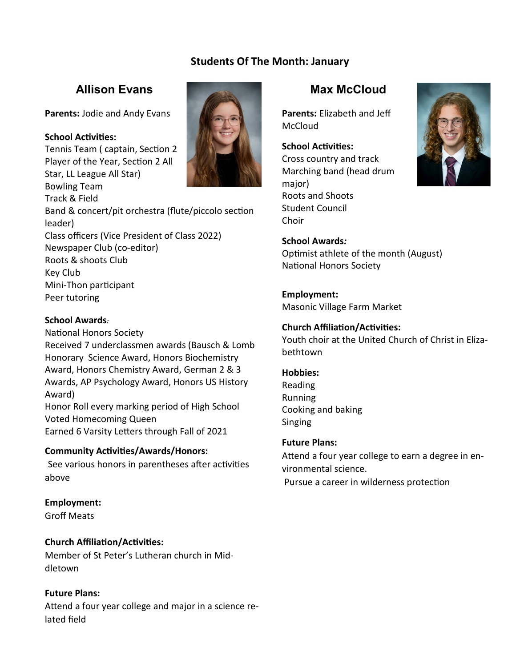## **Students Of The Month: January**

## **Allison Evans**

**Parents:** Jodie and Andy Evans

#### **School Activities:**

Tennis Team ( captain, Section 2 Player of the Year, Section 2 All Star, LL League All Star) Bowling Team



Track & Field Band & concert/pit orchestra (flute/piccolo section leader) Class officers (Vice President of Class 2022) Newspaper Club (co-editor) Roots & shoots Club Key Club Mini-Thon participant Peer tutoring

#### **School Awards***:*

National Honors Society Received 7 underclassmen awards (Bausch & Lomb Honorary Science Award, Honors Biochemistry Award, Honors Chemistry Award, German 2 & 3 Awards, AP Psychology Award, Honors US History Award) Honor Roll every marking period of High School Voted Homecoming Queen Earned 6 Varsity Letters through Fall of 2021

## **Community Activities/Awards/Honors:**

 See various honors in parentheses after activities above

## **Employment:**

Groff Meats

## **Church Affiliation/Activities:**

Member of St Peter's Lutheran church in Middletown

## **Future Plans:**

Attend a four year college and major in a science related field

## **Max McCloud**

**Parents:** Elizabeth and Jeff McCloud

## **School Activities:**

Cross country and track Marching band (head drum major) Roots and Shoots Student Council Choir

## **School Awards***:*

Optimist athlete of the month (August) National Honors Society

#### **Employment:**

Masonic Village Farm Market

#### **Church Affiliation/Activities:**

Youth choir at the United Church of Christ in Elizabethtown

#### **Hobbies:**

Reading Running Cooking and baking Singing

#### **Future Plans:**

Attend a four year college to earn a degree in environmental science.

Pursue a career in wilderness protection